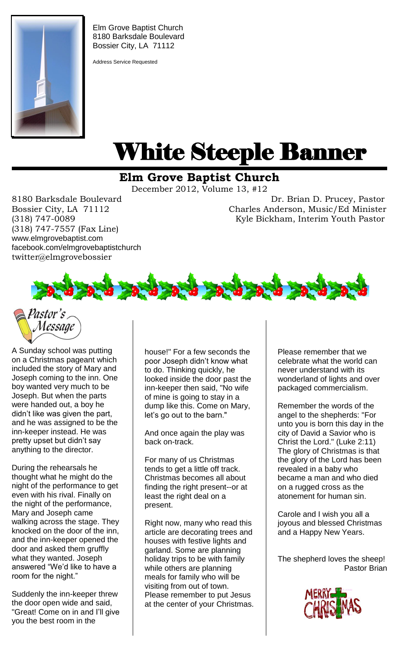

Elm Grove Baptist Church 8180 Barksdale Boulevard Bossier City, LA 71112

Address Service Requested

# White Steeple Banner ı

## **Elm Grove Baptist Church**

December 2012, Volume 13, #12

(318) 747-7557 (Fax Line) www.elmgrovebaptist.com facebook.com/elmgrovebaptistchurch twitter@elmgrovebossier

8180 Barksdale Boulevard Dr. Brian D. Prucey, Pastor Bossier City, LA 71112 Charles Anderson, Music/Ed Minister (318) 747-0089 Kyle Bickham, Interim Youth Pastor





A Sunday school was putting on a Christmas pageant which included the story of Mary and Joseph coming to the inn. One boy wanted very much to be Joseph. But when the parts were handed out, a boy he didn't like was given the part, and he was assigned to be the inn-keeper instead. He was pretty upset but didn't say anything to the director.

During the rehearsals he thought what he might do the night of the performance to get even with his rival. Finally on the night of the performance, Mary and Joseph came walking across the stage. They knocked on the door of the inn, and the inn-keeper opened the door and asked them gruffly what they wanted. Joseph answered "We'd like to have a room for the night."

Suddenly the inn-keeper threw the door open wide and said, "Great! Come on in and I'll give you the best room in the

house!" For a few seconds the poor Joseph didn't know what to do. Thinking quickly, he looked inside the door past the inn-keeper then said, "No wife of mine is going to stay in a dump like this. Come on Mary, let's go out to the barn."

And once again the play was back on-track.

For many of us Christmas tends to get a little off track. Christmas becomes all about finding the right present--or at least the right deal on a present.

Right now, many who read this article are decorating trees and houses with festive lights and garland. Some are planning holiday trips to be with family while others are planning meals for family who will be visiting from out of town. Please remember to put Jesus at the center of your Christmas. Please remember that we celebrate what the world can never understand with its wonderland of lights and over packaged commercialism.

Remember the words of the angel to the shepherds: "For unto you is born this day in the city of David a Savior who is Christ the Lord." (Luke 2:11) The glory of Christmas is that the glory of the Lord has been revealed in a baby who became a man and who died on a rugged cross as the atonement for human sin.

Carole and I wish you all a joyous and blessed Christmas and a Happy New Years.

The shepherd loves the sheep! Pastor Brian